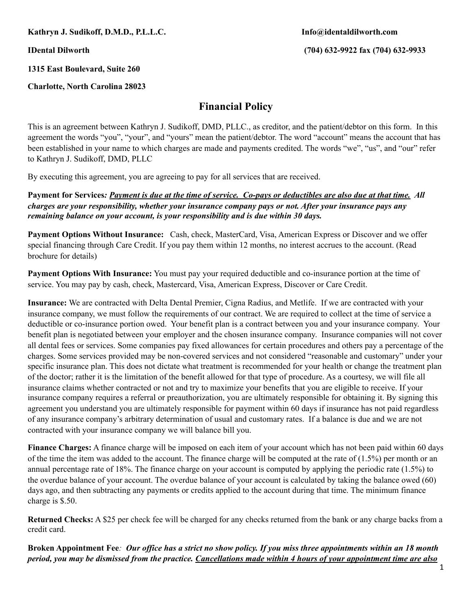**Kathryn J. Sudikoff, D.M.D., P.L.L.C. Info@identaldilworth.com** 

**IDental Dilworth (704) 632-9922 fax (704) 632-9933** 

**1315 East Boulevard, Suite 260** 

**Charlotte, North Carolina 28023** 

## **Financial Policy**

This is an agreement between Kathryn J. Sudikoff, DMD, PLLC., as creditor, and the patient/debtor on this form. In this agreement the words "you", "your", and "yours" mean the patient/debtor. The word "account" means the account that has been established in your name to which charges are made and payments credited. The words "we", "us", and "our" refer to Kathryn J. Sudikoff, DMD, PLLC

By executing this agreement, you are agreeing to pay for all services that are received.

**Payment for Services***: Payment is due at the time of service. Co-pays or deductibles are also due at that time. All charges are your responsibility, whether your insurance company pays or not. After your insurance pays any remaining balance on your account, is your responsibility and is due within 30 days.* 

**Payment Options Without Insurance:** Cash, check, MasterCard, Visa, American Express or Discover and we offer special financing through Care Credit. If you pay them within 12 months, no interest accrues to the account. (Read brochure for details)

**Payment Options With Insurance:** You must pay your required deductible and co-insurance portion at the time of service. You may pay by cash, check, Mastercard, Visa, American Express, Discover or Care Credit.

**Insurance:** We are contracted with Delta Dental Premier, Cigna Radius, and Metlife. If we are contracted with your insurance company, we must follow the requirements of our contract. We are required to collect at the time of service a deductible or co-insurance portion owed. Your benefit plan is a contract between you and your insurance company. Your benefit plan is negotiated between your employer and the chosen insurance company. Insurance companies will not cover all dental fees or services. Some companies pay fixed allowances for certain procedures and others pay a percentage of the charges. Some services provided may be non-covered services and not considered "reasonable and customary" under your specific insurance plan. This does not dictate what treatment is recommended for your health or change the treatment plan of the doctor; rather it is the limitation of the benefit allowed for that type of procedure. As a courtesy, we will file all insurance claims whether contracted or not and try to maximize your benefits that you are eligible to receive. If your insurance company requires a referral or preauthorization, you are ultimately responsible for obtaining it. By signing this agreement you understand you are ultimately responsible for payment within 60 days if insurance has not paid regardless of any insurance company's arbitrary determination of usual and customary rates. If a balance is due and we are not contracted with your insurance company we will balance bill you.

**Finance Charges:** A finance charge will be imposed on each item of your account which has not been paid within 60 days of the time the item was added to the account. The finance charge will be computed at the rate of  $(1.5%)$  per month or an annual percentage rate of 18%. The finance charge on your account is computed by applying the periodic rate (1.5%) to the overdue balance of your account. The overdue balance of your account is calculated by taking the balance owed (60) days ago, and then subtracting any payments or credits applied to the account during that time. The minimum finance charge is \$.50.

**Returned Checks:** A \$25 per check fee will be charged for any checks returned from the bank or any charge backs from a credit card.

**Broken Appointment Fee***: Our office has a strict no show policy. If you miss three appointments within an 18 month period, you may be dismissed from the practice. Cancellations made within 4 hours of your appointment time are also*